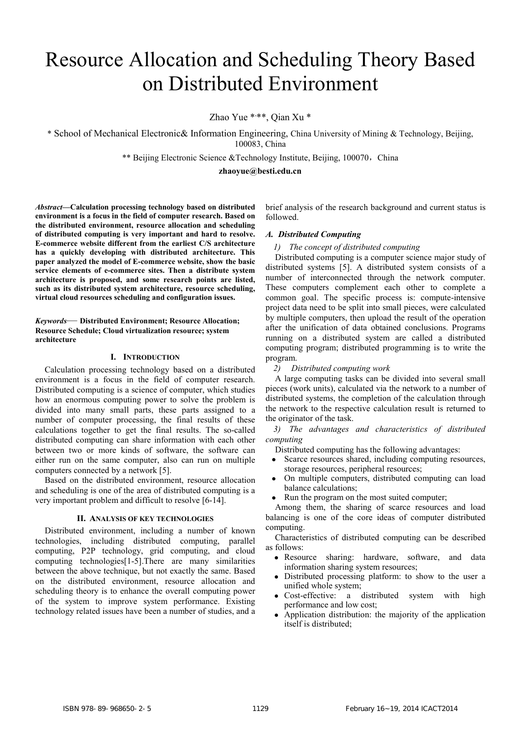# Resource Allocation and Scheduling Theory Based on Distributed Environment

Zhao Yue \*\*\*, Qian Xu \*

\* School of Mechanical Electronic& Information Engineering, China University of Mining & Technology, Beijing, 100083, China

\*\* Beijing Electronic Science &Technology Institute, Beijing, 100070, China

**zhaoyue@besti.edu.cn** 

*Abstract***—Calculation processing technology based on distributed environment is a focus in the field of computer research. Based on the distributed environment, resource allocation and scheduling of distributed computing is very important and hard to resolve. E-commerce website different from the earliest C/S architecture has a quickly developing with distributed architecture. This paper analyzed the model of E-commerce website, show the basic service elements of e-commerce sites. Then a distribute system architecture is proposed, and some research points are listed, such as its distributed system architecture, resource scheduling, virtual cloud resources scheduling and configuration issues.** 

*Keywords*— **Distributed Environment; Resource Allocation; Resource Schedule; Cloud virtualization resource; system architecture**

#### **I. INTRODUCTION**

Calculation processing technology based on a distributed environment is a focus in the field of computer research. Distributed computing is a science of computer, which studies how an enormous computing power to solve the problem is divided into many small parts, these parts assigned to a number of computer processing, the final results of these calculations together to get the final results. The so-called distributed computing can share information with each other between two or more kinds of software, the software can either run on the same computer, also can run on multiple computers connected by a network [5].

Based on the distributed environment, resource allocation and scheduling is one of the area of distributed computing is a very important problem and difficult to resolve [6-14].

## **II. ANALYSIS OF KEY TECHNOLOGIES**

Distributed environment, including a number of known technologies, including distributed computing, parallel computing, P2P technology, grid computing, and cloud computing technologies[1-5].There are many similarities between the above technique, but not exactly the same. Based on the distributed environment, resource allocation and scheduling theory is to enhance the overall computing power of the system to improve system performance. Existing technology related issues have been a number of studies, and a

brief analysis of the research background and current status is followed.

# *A. Distributed Computing*

*1) The concept of distributed computing* 

Distributed computing is a computer science major study of distributed systems [5]. A distributed system consists of a number of interconnected through the network computer. These computers complement each other to complete a common goal. The specific process is: compute-intensive project data need to be split into small pieces, were calculated by multiple computers, then upload the result of the operation after the unification of data obtained conclusions. Programs running on a distributed system are called a distributed computing program; distributed programming is to write the program.

*2) Distributed computing work* 

A large computing tasks can be divided into several small pieces (work units), calculated via the network to a number of distributed systems, the completion of the calculation through the network to the respective calculation result is returned to the originator of the task.

*3) The advantages and characteristics of distributed computing* 

Distributed computing has the following advantages:

- Scarce resources shared, including computing resources, storage resources, peripheral resources;
- On multiple computers, distributed computing can load balance calculations;
- Run the program on the most suited computer;

Among them, the sharing of scarce resources and load balancing is one of the core ideas of computer distributed computing.

Characteristics of distributed computing can be described as follows:

- Resource sharing: hardware, software, and data information sharing system resources;
- Distributed processing platform: to show to the user a unified whole system;
- Cost-effective: a distributed system with high performance and low cost;
- $\bullet$  Application distribution: the majority of the application itself is distributed;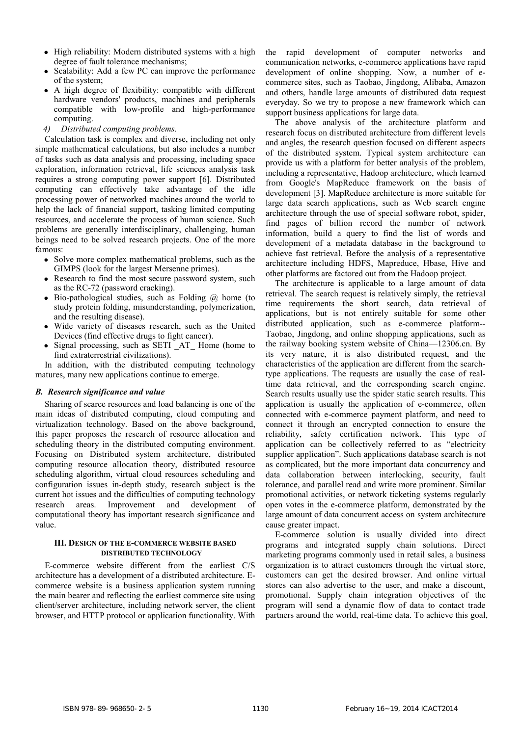- High reliability: Modern distributed systems with a high degree of fault tolerance mechanisms;
- Scalability: Add a few PC can improve the performance of the system;
- A high degree of flexibility: compatible with different hardware vendors' products, machines and peripherals compatible with low-profile and high-performance computing.
- *4) Distributed computing problems.*

Calculation task is complex and diverse, including not only simple mathematical calculations, but also includes a number of tasks such as data analysis and processing, including space exploration, information retrieval, life sciences analysis task requires a strong computing power support [6]. Distributed computing can effectively take advantage of the idle processing power of networked machines around the world to help the lack of financial support, tasking limited computing resources, and accelerate the process of human science. Such problems are generally interdisciplinary, challenging, human beings need to be solved research projects. One of the more famous:

- Solve more complex mathematical problems, such as the GIMPS (look for the largest Mersenne primes).
- Research to find the most secure password system, such as the RC-72 (password cracking).
- Bio-pathological studies, such as Folding  $(a)$  home (to study protein folding, misunderstanding, polymerization, and the resulting disease).
- Wide variety of diseases research, such as the United Devices (find effective drugs to fight cancer).
- Signal processing, such as SETI AT Home (home to find extraterrestrial civilizations).

In addition, with the distributed computing technology matures, many new applications continue to emerge.

# *B. Research significance and value*

Sharing of scarce resources and load balancing is one of the main ideas of distributed computing, cloud computing and virtualization technology. Based on the above background, this paper proposes the research of resource allocation and scheduling theory in the distributed computing environment. Focusing on Distributed system architecture, distributed computing resource allocation theory, distributed resource scheduling algorithm, virtual cloud resources scheduling and configuration issues in-depth study, research subject is the current hot issues and the difficulties of computing technology research areas. Improvement and development of computational theory has important research significance and value.

# **III. DESIGN OF THE E-COMMERCE WEBSITE BASED DISTRIBUTED TECHNOLOGY**

E-commerce website different from the earliest C/S architecture has a development of a distributed architecture. Ecommerce website is a business application system running the main bearer and reflecting the earliest commerce site using client/server architecture, including network server, the client browser, and HTTP protocol or application functionality. With the rapid development of computer networks and communication networks, e-commerce applications have rapid development of online shopping. Now, a number of ecommerce sites, such as Taobao, Jingdong, Alibaba, Amazon and others, handle large amounts of distributed data request everyday. So we try to propose a new framework which can support business applications for large data.

The above analysis of the architecture platform and research focus on distributed architecture from different levels and angles, the research question focused on different aspects of the distributed system. Typical system architecture can provide us with a platform for better analysis of the problem, including a representative, Hadoop architecture, which learned from Google's MapReduce framework on the basis of development [3]. MapReduce architecture is more suitable for large data search applications, such as Web search engine architecture through the use of special software robot, spider, find pages of billion record the number of network information, build a query to find the list of words and development of a metadata database in the background to achieve fast retrieval. Before the analysis of a representative architecture including HDFS, Mapreduce, Hbase, Hive and other platforms are factored out from the Hadoop project.

The architecture is applicable to a large amount of data retrieval. The search request is relatively simply, the retrieval time requirements the short search, data retrieval of applications, but is not entirely suitable for some other distributed application, such as e-commerce platform-- Taobao, Jingdong, and online shopping applications, such as the railway booking system website of China—12306.cn. By its very nature, it is also distributed request, and the characteristics of the application are different from the searchtype applications. The requests are usually the case of realtime data retrieval, and the corresponding search engine. Search results usually use the spider static search results. This application is usually the application of e-commerce, often connected with e-commerce payment platform, and need to connect it through an encrypted connection to ensure the reliability, safety certification network. This type of application can be collectively referred to as "electricity supplier application". Such applications database search is not as complicated, but the more important data concurrency and data collaboration between interlocking, security, fault tolerance, and parallel read and write more prominent. Similar promotional activities, or network ticketing systems regularly open votes in the e-commerce platform, demonstrated by the large amount of data concurrent access on system architecture cause greater impact.

E-commerce solution is usually divided into direct programs and integrated supply chain solutions. Direct marketing programs commonly used in retail sales, a business organization is to attract customers through the virtual store, customers can get the desired browser. And online virtual stores can also advertise to the user, and make a discount, promotional. Supply chain integration objectives of the program will send a dynamic flow of data to contact trade partners around the world, real-time data. To achieve this goal,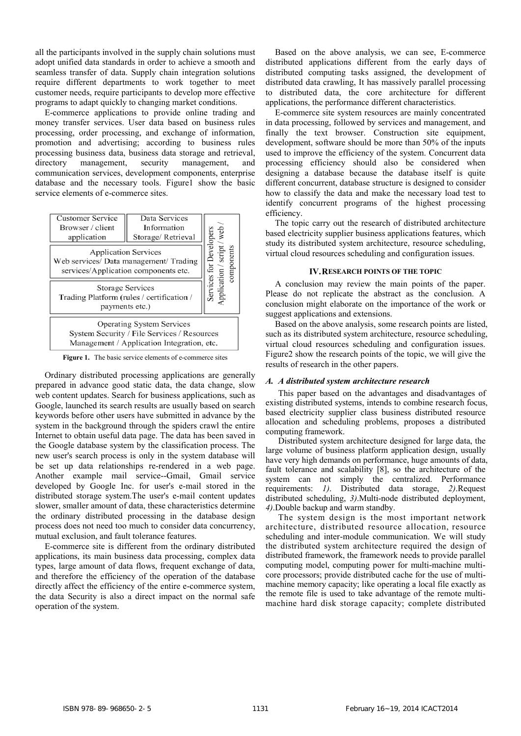all the participants involved in the supply chain solutions must adopt unified data standards in order to achieve a smooth and seamless transfer of data. Supply chain integration solutions require different departments to work together to meet customer needs, require participants to develop more effective programs to adapt quickly to changing market conditions.

E-commerce applications to provide online trading and money transfer services. User data based on business rules processing, order processing, and exchange of information, promotion and advertising; according to business rules processing business data, business data storage and retrieval, directory management, security management, and communication services, development components, enterprise database and the necessary tools. Figure1 show the basic service elements of e-commerce sites.



**Figure 1.** The basic service elements of e-commerce sites

Ordinary distributed processing applications are generally prepared in advance good static data, the data change, slow web content updates. Search for business applications, such as Google, launched its search results are usually based on search keywords before other users have submitted in advance by the system in the background through the spiders crawl the entire Internet to obtain useful data page. The data has been saved in the Google database system by the classification process. The new user's search process is only in the system database will be set up data relationships re-rendered in a web page. Another example mail service--Gmail, Gmail service developed by Google Inc. for user's e-mail stored in the distributed storage system.The user's e-mail content updates slower, smaller amount of data, these characteristics determine the ordinary distributed processing in the database design process does not need too much to consider data concurrency, mutual exclusion, and fault tolerance features.

E-commerce site is different from the ordinary distributed applications, its main business data processing, complex data types, large amount of data flows, frequent exchange of data, and therefore the efficiency of the operation of the database directly affect the efficiency of the entire e-commerce system, the data Security is also a direct impact on the normal safe operation of the system.

Based on the above analysis, we can see, E-commerce distributed applications different from the early days of distributed computing tasks assigned, the development of distributed data crawling, It has massively parallel processing to distributed data, the core architecture for different applications, the performance different characteristics.

E-commerce site system resources are mainly concentrated in data processing, followed by services and management, and finally the text browser. Construction site equipment, development, software should be more than 50% of the inputs used to improve the efficiency of the system. Concurrent data processing efficiency should also be considered when designing a database because the database itself is quite different concurrent, database structure is designed to consider how to classify the data and make the necessary load test to identify concurrent programs of the highest processing efficiency.

The topic carry out the research of distributed architecture based electricity supplier business applications features, which study its distributed system architecture, resource scheduling, virtual cloud resources scheduling and configuration issues.

#### **IV.RESEARCH POINTS OF THE TOPIC**

A conclusion may review the main points of the paper. Please do not replicate the abstract as the conclusion. A conclusion might elaborate on the importance of the work or suggest applications and extensions.

Based on the above analysis, some research points are listed, such as its distributed system architecture, resource scheduling, virtual cloud resources scheduling and configuration issues. Figure2 show the research points of the topic, we will give the results of research in the other papers.

#### *A. A distributed system architecture research*

This paper based on the advantages and disadvantages of existing distributed systems, intends to combine research focus, based electricity supplier class business distributed resource allocation and scheduling problems, proposes a distributed computing framework.

Distributed system architecture designed for large data, the large volume of business platform application design, usually have very high demands on performance, huge amounts of data, fault tolerance and scalability [8], so the architecture of the system can not simply the centralized. Performance requirements: *1)*. Distributed data storage, *2)*.Request distributed scheduling, *3)*.Multi-node distributed deployment, *4)*.Double backup and warm standby.

The system design is the most important network architecture, distributed resource allocation, resource scheduling and inter-module communication. We will study the distributed system architecture required the design of distributed framework, the framework needs to provide parallel computing model, computing power for multi-machine multicore processors; provide distributed cache for the use of multimachine memory capacity; like operating a local file exactly as the remote file is used to take advantage of the remote multimachine hard disk storage capacity; complete distributed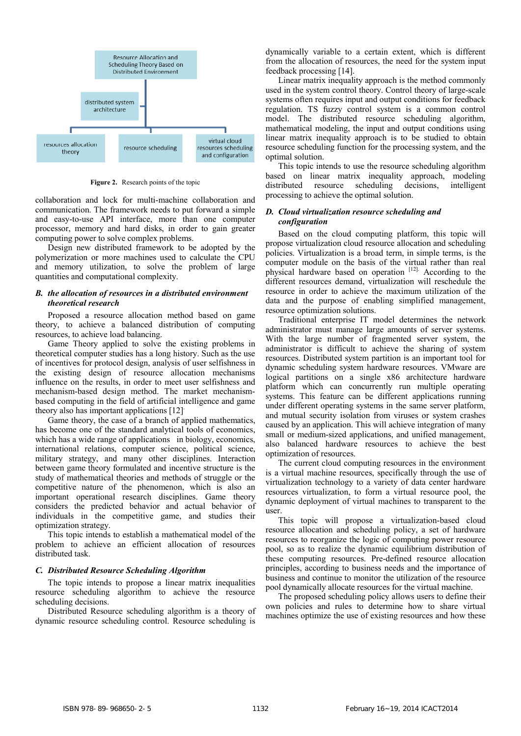

**Figure 2.** Research points of the topic

collaboration and lock for multi-machine collaboration and communication. The framework needs to put forward a simple and easy-to-use API interface, more than one computer processor, memory and hard disks, in order to gain greater computing power to solve complex problems.

Design new distributed framework to be adopted by the polymerization or more machines used to calculate the CPU and memory utilization, to solve the problem of large quantities and computational complexity.

## *B. the allocation of resources in a distributed environment theoretical research*

Proposed a resource allocation method based on game theory, to achieve a balanced distribution of computing resources, to achieve load balancing.

Game Theory applied to solve the existing problems in theoretical computer studies has a long history. Such as the use of incentives for protocol design, analysis of user selfishness in the existing design of resource allocation mechanisms influence on the results, in order to meet user selfishness and mechanism-based design method. The market mechanismbased computing in the field of artificial intelligence and game theory also has important applications [12].

Game theory, the case of a branch of applied mathematics, has become one of the standard analytical tools of economics, which has a wide range of applications in biology, economics, international relations, computer science, political science, military strategy, and many other disciplines. Interaction between game theory formulated and incentive structure is the study of mathematical theories and methods of struggle or the competitive nature of the phenomenon, which is also an important operational research disciplines. Game theory considers the predicted behavior and actual behavior of individuals in the competitive game, and studies their optimization strategy.

This topic intends to establish a mathematical model of the problem to achieve an efficient allocation of resources distributed task.

## *C. Distributed Resource Scheduling Algorithm*

The topic intends to propose a linear matrix inequalities resource scheduling algorithm to achieve the resource scheduling decisions.

Distributed Resource scheduling algorithm is a theory of dynamic resource scheduling control. Resource scheduling is dynamically variable to a certain extent, which is different from the allocation of resources, the need for the system input feedback processing [14].

Linear matrix inequality approach is the method commonly used in the system control theory. Control theory of large-scale systems often requires input and output conditions for feedback regulation. TS fuzzy control system is a common control model. The distributed resource scheduling algorithm, mathematical modeling, the input and output conditions using linear matrix inequality approach is to be studied to obtain resource scheduling function for the processing system, and the optimal solution.

This topic intends to use the resource scheduling algorithm based on linear matrix inequality approach, modeling distributed resource scheduling decisions, intelligent processing to achieve the optimal solution.

## *D. Cloud virtualization resource scheduling and configuration*

Based on the cloud computing platform, this topic will propose virtualization cloud resource allocation and scheduling policies. Virtualization is a broad term, in simple terms, is the computer module on the basis of the virtual rather than real physical hardware based on operation [12]. According to the different resources demand, virtualization will reschedule the resource in order to achieve the maximum utilization of the data and the purpose of enabling simplified management, resource optimization solutions.

Traditional enterprise IT model determines the network administrator must manage large amounts of server systems. With the large number of fragmented server system, the administrator is difficult to achieve the sharing of system resources. Distributed system partition is an important tool for dynamic scheduling system hardware resources. VMware are logical partitions on a single x86 architecture hardware platform which can concurrently run multiple operating systems. This feature can be different applications running under different operating systems in the same server platform, and mutual security isolation from viruses or system crashes caused by an application. This will achieve integration of many small or medium-sized applications, and unified management, also balanced hardware resources to achieve the best optimization of resources.

The current cloud computing resources in the environment is a virtual machine resources, specifically through the use of virtualization technology to a variety of data center hardware resources virtualization, to form a virtual resource pool, the dynamic deployment of virtual machines to transparent to the user.

This topic will propose a virtualization-based cloud resource allocation and scheduling policy, a set of hardware resources to reorganize the logic of computing power resource pool, so as to realize the dynamic equilibrium distribution of these computing resources. Pre-defined resource allocation principles, according to business needs and the importance of business and continue to monitor the utilization of the resource pool dynamically allocate resources for the virtual machine.

The proposed scheduling policy allows users to define their own policies and rules to determine how to share virtual machines optimize the use of existing resources and how these